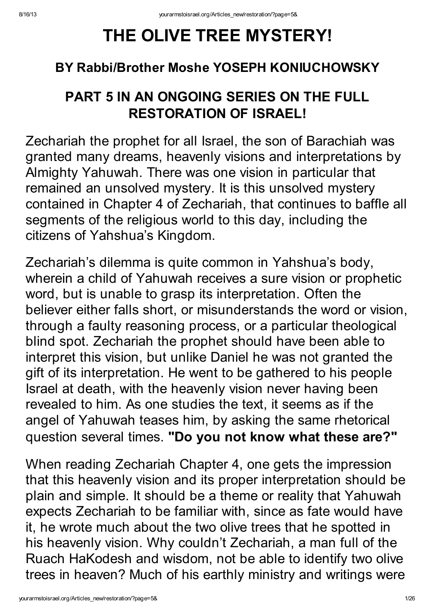# THE OLIVE TREE MYSTERY!

## BY Rabbi/Brother Moshe YOSEPH KONIUCHOWSKY

# PART 5 IN AN ONGOING SERIES ON THE FULL RESTORATION OF ISRAEL!

Zechariah the prophet for all Israel, the son of Barachiah was granted many dreams, heavenly visions and interpretations by Almighty Yahuwah. There was one vision in particular that remained an unsolved mystery. It is this unsolved mystery contained in Chapter 4 of Zechariah, that continues to baffle all segments of the religious world to this day, including the citizens of Yahshua's Kingdom.

Zechariah's dilemma is quite common in Yahshua's body, wherein a child of Yahuwah receives a sure vision or prophetic word, but is unable to grasp its interpretation. Often the believer either falls short, or misunderstands the word or vision, through a faulty reasoning process, or a particular theological blind spot. Zechariah the prophet should have been able to interpret this vision, but unlike Daniel he was not granted the gift of its interpretation. He went to be gathered to his people Israel at death, with the heavenly vision never having been revealed to him. As one studies the text, it seems as if the angel of Yahuwah teases him, by asking the same rhetorical question several times. "Do you not know what these are?"

When reading Zechariah Chapter 4, one gets the impression that this heavenly vision and its proper interpretation should be plain and simple. It should be a theme or reality that Yahuwah expects Zechariah to be familiar with, since as fate would have it, he wrote much about the two olive trees that he spotted in his heavenly vision. Why couldn't Zechariah, a man full of the Ruach HaKodesh and wisdom, not be able to identify two olive trees in heaven? Much of his earthly ministry and writings were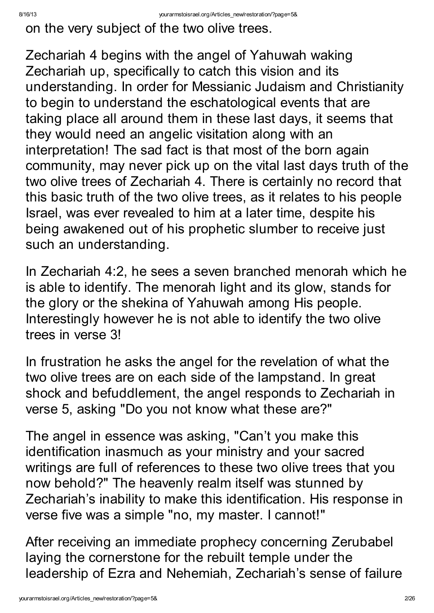on the very subject of the two olive trees.

Zechariah 4 begins with the angel of Yahuwah waking Zechariah up, specifically to catch this vision and its understanding. In order for Messianic Judaism and Christianity to begin to understand the eschatological events that are taking place all around them in these last days, it seems that they would need an angelic visitation along with an interpretation! The sad fact is that most of the born again community, may never pick up on the vital last days truth of the two olive trees of Zechariah 4. There is certainly no record that this basic truth of the two olive trees, as it relates to his people Israel, was ever revealed to him at a later time, despite his being awakened out of his prophetic slumber to receive just such an understanding.

In Zechariah 4:2, he sees a seven branched menorah which he is able to identify. The menorah light and its glow, stands for the glory or the shekina of Yahuwah among His people. Interestingly however he is not able to identify the two olive trees in verse 3!

In frustration he asks the angel for the revelation of what the two olive trees are on each side of the lampstand. In great shock and befuddlement, the angel responds to Zechariah in verse 5, asking "Do you not know what these are?"

The angel in essence was asking, "Can't you make this identification inasmuch as your ministry and your sacred writings are full of references to these two olive trees that you now behold?" The heavenly realm itself was stunned by Zechariah's inability to make this identification. His response in verse five was a simple "no, my master. I cannot!"

After receiving an immediate prophecy concerning Zerubabel laying the cornerstone for the rebuilt temple under the leadership of Ezra and Nehemiah, Zechariah's sense of failure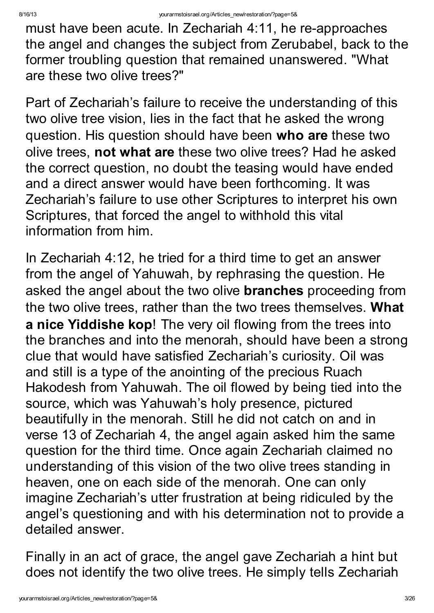must have been acute. In Zechariah 4:11, he re-approaches the angel and changes the subject from Zerubabel, back to the former troubling question that remained unanswered. "What are these two olive trees?"

Part of Zechariah's failure to receive the understanding of this two olive tree vision, lies in the fact that he asked the wrong question. His question should have been who are these two olive trees, not what are these two olive trees? Had he asked the correct question, no doubt the teasing would have ended and a direct answer would have been forthcoming. It was Zechariah's failure to use other Scriptures to interpret his own Scriptures, that forced the angel to withhold this vital information from him.

In Zechariah 4:12, he tried for a third time to get an answer from the angel of Yahuwah, by rephrasing the question. He asked the angel about the two olive **branches** proceeding from the two olive trees, rather than the two trees themselves. What a nice Yiddishe kop! The very oil flowing from the trees into the branches and into the menorah, should have been a strong clue that would have satisfied Zechariah's curiosity. Oil was and still is a type of the anointing of the precious Ruach Hakodesh from Yahuwah. The oil flowed by being tied into the source, which was Yahuwah's holy presence, pictured beautifully in the menorah. Still he did not catch on and in verse 13 of Zechariah 4, the angel again asked him the same question for the third time. Once again Zechariah claimed no understanding of this vision of the two olive trees standing in heaven, one on each side of the menorah. One can only imagine Zechariah's utter frustration at being ridiculed by the angel's questioning and with his determination not to provide a detailed answer.

Finally in an act of grace, the angel gave Zechariah a hint but does not identify the two olive trees. He simply tells Zechariah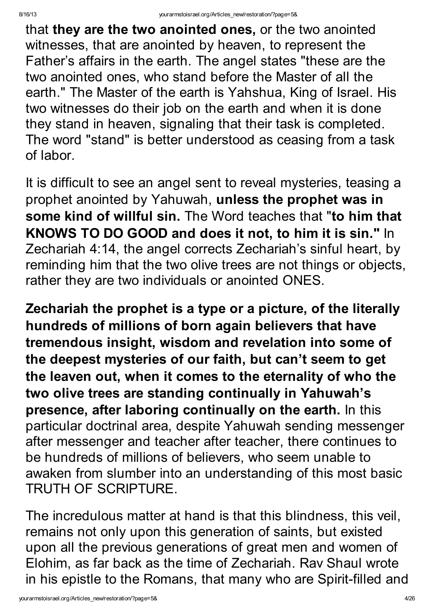that they are the two anointed ones, or the two anointed witnesses, that are anointed by heaven, to represent the Father's affairs in the earth. The angel states "these are the two anointed ones, who stand before the Master of all the earth." The Master of the earth is Yahshua, King of Israel. His two witnesses do their job on the earth and when it is done they stand in heaven, signaling that their task is completed. The word "stand" is better understood as ceasing from a task of labor.

It is difficult to see an angel sent to reveal mysteries, teasing a prophet anointed by Yahuwah, unless the prophet was in some kind of willful sin. The Word teaches that "to him that KNOWS TO DO GOOD and does it not, to him it is sin." In Zechariah 4:14, the angel corrects Zechariah's sinful heart, by reminding him that the two olive trees are not things or objects, rather they are two individuals or anointed ONES.

Zechariah the prophet is a type or a picture, of the literally hundreds of millions of born again believers that have tremendous insight, wisdom and revelation into some of the deepest mysteries of our faith, but can't seem to get the leaven out, when it comes to the eternality of who the two olive trees are standing continually in Yahuwah's presence, after laboring continually on the earth. In this particular doctrinal area, despite Yahuwah sending messenger after messenger and teacher after teacher, there continues to be hundreds of millions of believers, who seem unable to awaken from slumber into an understanding of this most basic TRUTH OF SCRIPTURE.

The incredulous matter at hand is that this blindness, this veil, remains not only upon this generation of saints, but existed upon all the previous generations of great men and women of Elohim, as far back as the time of Zechariah. Rav Shaul wrote in his epistle to the Romans, that many who are Spirit-filled and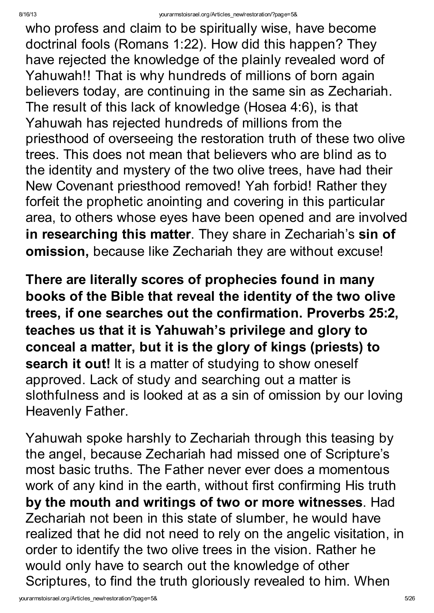who profess and claim to be spiritually wise, have become doctrinal fools (Romans 1:22). How did this happen? They have rejected the knowledge of the plainly revealed word of Yahuwah!! That is why hundreds of millions of born again believers today, are continuing in the same sin as Zechariah. The result of this lack of knowledge (Hosea 4:6), is that Yahuwah has rejected hundreds of millions from the priesthood of overseeing the restoration truth of these two olive trees. This does not mean that believers who are blind as to the identity and mystery of the two olive trees, have had their New Covenant priesthood removed! Yah forbid! Rather they forfeit the prophetic anointing and covering in this particular area, to others whose eyes have been opened and are involved in researching this matter. They share in Zechariah's sin of omission, because like Zechariah they are without excuse!

There are literally scores of prophecies found in many books of the Bible that reveal the identity of the two olive trees, if one searches out the confirmation. Proverbs 25:2, teaches us that it is Yahuwah's privilege and glory to conceal a matter, but it is the glory of kings (priests) to search it out! It is a matter of studying to show oneself approved. Lack of study and searching out a matter is slothfulness and is looked at as a sin of omission by our loving Heavenly Father.

Yahuwah spoke harshly to Zechariah through this teasing by the angel, because Zechariah had missed one of Scripture's most basic truths. The Father never ever does a momentous work of any kind in the earth, without first confirming His truth by the mouth and writings of two or more witnesses. Had Zechariah not been in this state of slumber, he would have realized that he did not need to rely on the angelic visitation, in order to identify the two olive trees in the vision. Rather he would only have to search out the knowledge of other Scriptures, to find the truth gloriously revealed to him. When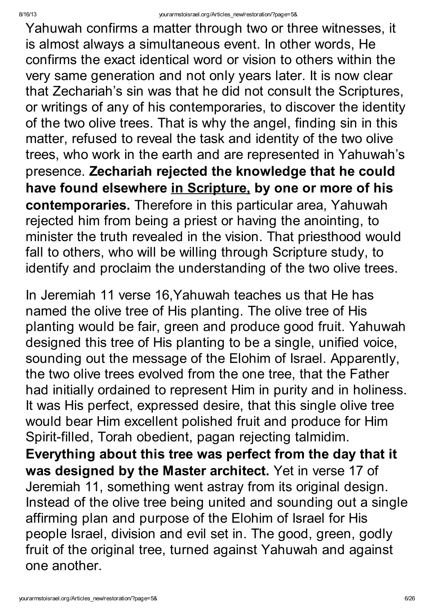Yahuwah confirms a matter through two or three witnesses, it is almost always a simultaneous event. In other words, He confirms the exact identical word or vision to others within the very same generation and not only years later. It is now clear that Zechariah's sin was that he did not consult the Scriptures, or writings of any of his contemporaries, to discover the identity of the two olive trees. That is why the angel, finding sin in this matter, refused to reveal the task and identity of the two olive trees, who work in the earth and are represented in Yahuwah's presence. Zechariah rejected the knowledge that he could have found elsewhere in Scripture, by one or more of his contemporaries. Therefore in this particular area, Yahuwah rejected him from being a priest or having the anointing, to minister the truth revealed in the vision. That priesthood would fall to others, who will be willing through Scripture study, to identify and proclaim the understanding of the two olive trees.

In Jeremiah 11 verse 16,Yahuwah teaches us that He has named the olive tree of His planting. The olive tree of His planting would be fair, green and produce good fruit. Yahuwah designed this tree of His planting to be a single, unified voice, sounding out the message of the Elohim of Israel. Apparently, the two olive trees evolved from the one tree, that the Father had initially ordained to represent Him in purity and in holiness. It was His perfect, expressed desire, that this single olive tree would bear Him excellent polished fruit and produce for Him Spirit-filled, Torah obedient, pagan rejecting talmidim. Everything about this tree was perfect from the day that it was designed by the Master architect. Yet in verse 17 of Jeremiah 11, something went astray from its original design. Instead of the olive tree being united and sounding out a single affirming plan and purpose of the Elohim of Israel for His people Israel, division and evil set in. The good, green, godly fruit of the original tree, turned against Yahuwah and against one another.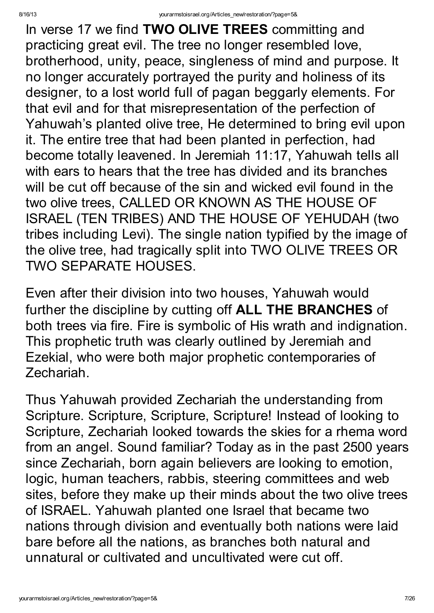In verse 17 we find **TWO OLIVE TREES** committing and practicing great evil. The tree no longer resembled love, brotherhood, unity, peace, singleness of mind and purpose. It no longer accurately portrayed the purity and holiness of its designer, to a lost world full of pagan beggarly elements. For that evil and for that misrepresentation of the perfection of Yahuwah's planted olive tree, He determined to bring evil upon it. The entire tree that had been planted in perfection, had become totally leavened. In Jeremiah 11:17, Yahuwah tells all with ears to hears that the tree has divided and its branches will be cut off because of the sin and wicked evil found in the two olive trees, CALLED OR KNOWN AS THE HOUSE OF ISRAEL (TEN TRIBES) AND THE HOUSE OF YEHUDAH (two tribes including Levi). The single nation typified by the image of the olive tree, had tragically split into TWO OLIVE TREES OR TWO SEPARATE HOUSES.

Even after their division into two houses, Yahuwah would further the discipline by cutting off ALL THE BRANCHES of both trees via fire. Fire is symbolic of His wrath and indignation. This prophetic truth was clearly outlined by Jeremiah and Ezekial, who were both major prophetic contemporaries of Zechariah.

Thus Yahuwah provided Zechariah the understanding from Scripture. Scripture, Scripture, Scripture! Instead of looking to Scripture, Zechariah looked towards the skies for a rhema word from an angel. Sound familiar? Today as in the past 2500 years since Zechariah, born again believers are looking to emotion, logic, human teachers, rabbis, steering committees and web sites, before they make up their minds about the two olive trees of ISRAEL. Yahuwah planted one Israel that became two nations through division and eventually both nations were laid bare before all the nations, as branches both natural and unnatural or cultivated and uncultivated were cut off.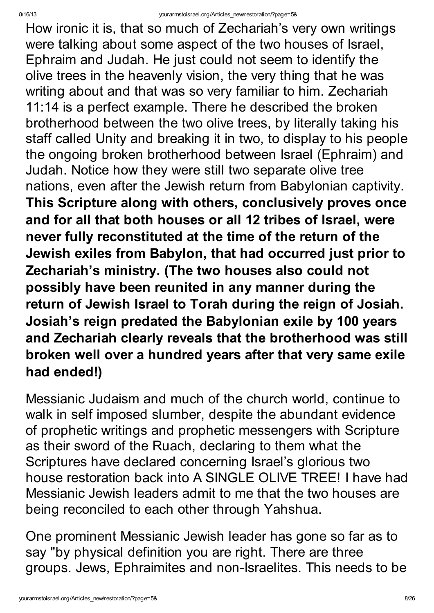How ironic it is, that so much of Zechariah's very own writings were talking about some aspect of the two houses of Israel, Ephraim and Judah. He just could not seem to identify the olive trees in the heavenly vision, the very thing that he was writing about and that was so very familiar to him. Zechariah 11:14 is a perfect example. There he described the broken brotherhood between the two olive trees, by literally taking his staff called Unity and breaking it in two, to display to his people the ongoing broken brotherhood between Israel (Ephraim) and Judah. Notice how they were still two separate olive tree nations, even after the Jewish return from Babylonian captivity. This Scripture along with others, conclusively proves once and for all that both houses or all 12 tribes of Israel, were never fully reconstituted at the time of the return of the Jewish exiles from Babylon, that had occurred just prior to Zechariah's ministry. (The two houses also could not possibly have been reunited in any manner during the return of Jewish Israel to Torah during the reign of Josiah. Josiah's reign predated the Babylonian exile by 100 years and Zechariah clearly reveals that the brotherhood was still broken well over a hundred years after that very same exile had ended!)

Messianic Judaism and much of the church world, continue to walk in self imposed slumber, despite the abundant evidence of prophetic writings and prophetic messengers with Scripture as their sword of the Ruach, declaring to them what the Scriptures have declared concerning Israel's glorious two house restoration back into A SINGLE OLIVE TREE! I have had Messianic Jewish leaders admit to me that the two houses are being reconciled to each other through Yahshua.

One prominent Messianic Jewish leader has gone so far as to say "by physical definition you are right. There are three groups. Jews, Ephraimites and non-Israelites. This needs to be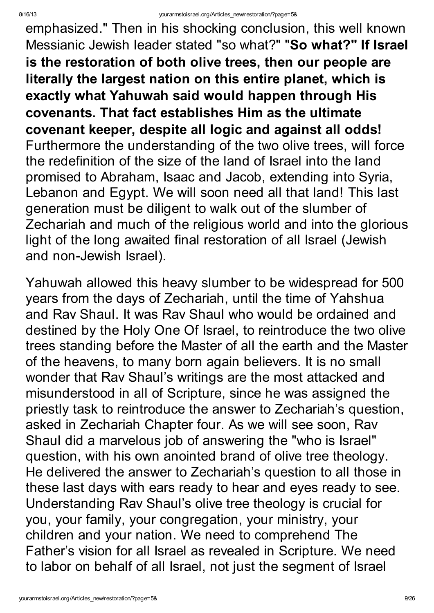emphasized." Then in his shocking conclusion, this well known Messianic Jewish leader stated "so what?" "So what?" If Israel is the restoration of both olive trees, then our people are literally the largest nation on this entire planet, which is exactly what Yahuwah said would happen through His covenants. That fact establishes Him as the ultimate covenant keeper, despite all logic and against all odds! Furthermore the understanding of the two olive trees, will force the redefinition of the size of the land of Israel into the land promised to Abraham, Isaac and Jacob, extending into Syria, Lebanon and Egypt. We will soon need all that land! This last generation must be diligent to walk out of the slumber of Zechariah and much of the religious world and into the glorious light of the long awaited final restoration of all Israel (Jewish and non-Jewish Israel).

Yahuwah allowed this heavy slumber to be widespread for 500 years from the days of Zechariah, until the time of Yahshua and Rav Shaul. It was Rav Shaul who would be ordained and destined by the Holy One Of Israel, to reintroduce the two olive trees standing before the Master of all the earth and the Master of the heavens, to many born again believers. It is no small wonder that Rav Shaul's writings are the most attacked and misunderstood in all of Scripture, since he was assigned the priestly task to reintroduce the answer to Zechariah's question, asked in Zechariah Chapter four. As we will see soon, Rav Shaul did a marvelous job of answering the "who is Israel" question, with his own anointed brand of olive tree theology. He delivered the answer to Zechariah's question to all those in these last days with ears ready to hear and eyes ready to see. Understanding Rav Shaul's olive tree theology is crucial for you, your family, your congregation, your ministry, your children and your nation. We need to comprehend The Father's vision for all Israel as revealed in Scripture. We need to labor on behalf of all Israel, not just the segment of Israel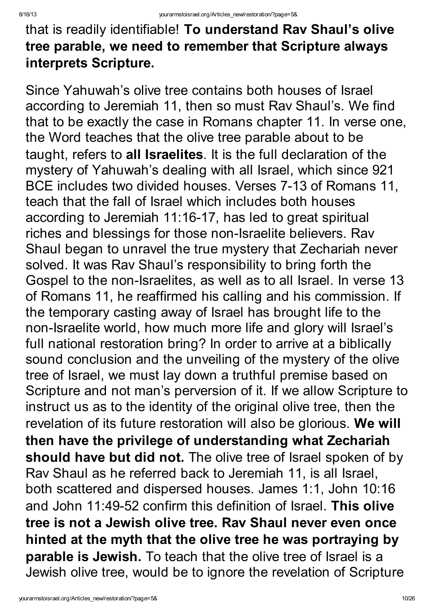# that is readily identifiable! To understand Rav Shaul's olive tree parable, we need to remember that Scripture always interprets Scripture.

Since Yahuwah's olive tree contains both houses of Israel according to Jeremiah 11, then so must Rav Shaul's. We find that to be exactly the case in Romans chapter 11. In verse one, the Word teaches that the olive tree parable about to be taught, refers to all Israelites. It is the full declaration of the mystery of Yahuwah's dealing with all Israel, which since 921 BCE includes two divided houses. Verses 7-13 of Romans 11, teach that the fall of Israel which includes both houses according to Jeremiah 11:16-17, has led to great spiritual riches and blessings for those non-Israelite believers. Rav Shaul began to unravel the true mystery that Zechariah never solved. It was Rav Shaul's responsibility to bring forth the Gospel to the non-Israelites, as well as to all Israel. In verse 13 of Romans 11, he reaffirmed his calling and his commission. If the temporary casting away of Israel has brought life to the non-Israelite world, how much more life and glory will Israel's full national restoration bring? In order to arrive at a biblically sound conclusion and the unveiling of the mystery of the olive tree of Israel, we must lay down a truthful premise based on Scripture and not man's perversion of it. If we allow Scripture to instruct us as to the identity of the original olive tree, then the revelation of its future restoration will also be glorious. We will then have the privilege of understanding what Zechariah should have but did not. The olive tree of Israel spoken of by Rav Shaul as he referred back to Jeremiah 11, is all Israel, both scattered and dispersed houses. James 1:1, John 10:16 and John 11:49-52 confirm this definition of Israel. This olive tree is not a Jewish olive tree. Rav Shaul never even once hinted at the myth that the olive tree he was portraying by parable is Jewish. To teach that the olive tree of Israel is a Jewish olive tree, would be to ignore the revelation of Scripture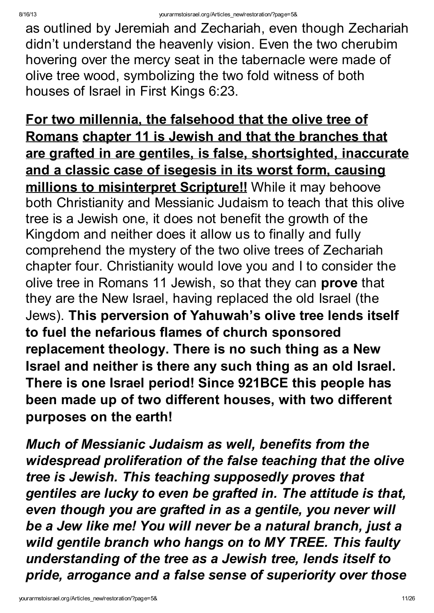as outlined by Jeremiah and Zechariah, even though Zechariah didn't understand the heavenly vision. Even the two cherubim hovering over the mercy seat in the tabernacle were made of olive tree wood, symbolizing the two fold witness of both houses of Israel in First Kings 6:23.

For two millennia, the falsehood that the olive tree of Romans chapter 11 is Jewish and that the branches that are grafted in are gentiles, is false, shortsighted, inaccurate and a classic case of isegesis in its worst form, causing millions to misinterpret Scripture!! While it may behoove both Christianity and Messianic Judaism to teach that this olive tree is a Jewish one, it does not benefit the growth of the Kingdom and neither does it allow us to finally and fully comprehend the mystery of the two olive trees of Zechariah chapter four. Christianity would love you and I to consider the olive tree in Romans 11 Jewish, so that they can prove that they are the New Israel, having replaced the old Israel (the Jews). This perversion of Yahuwah's olive tree lends itself to fuel the nefarious flames of church sponsored replacement theology. There is no such thing as a New Israel and neither is there any such thing as an old Israel. There is one Israel period! Since 921BCE this people has been made up of two different houses, with two different purposes on the earth!

Much of Messianic Judaism as well, benefits from the widespread proliferation of the false teaching that the olive tree is Jewish. This teaching supposedly proves that gentiles are lucky to even be grafted in. The attitude is that, even though you are grafted in as a gentile, you never will be a Jew like me! You will never be a natural branch, just a wild gentile branch who hangs on to MY TREE. This faulty understanding of the tree as a Jewish tree, lends itself to pride, arrogance and a false sense of superiority over those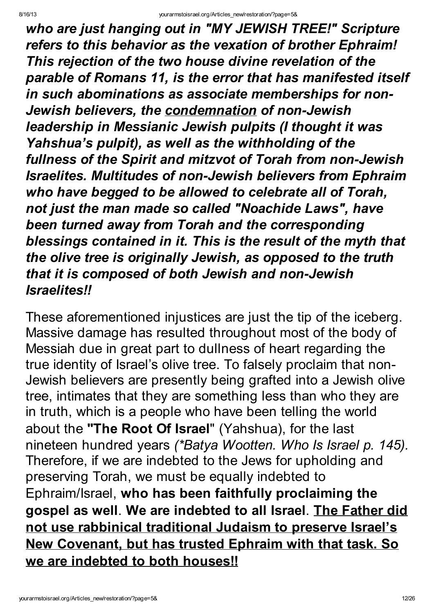who are just hanging out in "MY JEWISH TREE!" Scripture refers to this behavior as the vexation of brother Ephraim! This rejection of the two house divine revelation of the parable of Romans 11, is the error that has manifested itself in such abominations as associate memberships for non-Jewish believers, the condemnation of non-Jewish leadership in Messianic Jewish pulpits (I thought it was Yahshua's pulpit), as well as the withholding of the fullness of the Spirit and mitzvot of Torah from non-Jewish Israelites. Multitudes of non-Jewish believers from Ephraim who have begged to be allowed to celebrate all of Torah, not just the man made so called "Noachide Laws" , have been turned away from Torah and the corresponding blessings contained in it. This is the result of the myth that the olive tree is originally Jewish, as opposed to the truth that it is composed of both Jewish and non-Jewish Israelites!!

These aforementioned injustices are just the tip of the iceberg. Massive damage has resulted throughout most of the body of Messiah due in great part to dullness of heart regarding the true identity of Israel's olive tree. To falsely proclaim that non-Jewish believers are presently being grafted into a Jewish olive tree, intimates that they are something less than who they are in truth, which is a people who have been telling the world about the "The Root Of Israel" (Yahshua), for the last nineteen hundred years (\*Batya Wootten. Who Is Israel p. 145). Therefore, if we are indebted to the Jews for upholding and preserving Torah, we must be equally indebted to Ephraim/Israel, who has been faithfully proclaiming the gospel as well. We are indebted to all Israel. The Father did not use rabbinical traditional Judaism to preserve Israel's New Covenant, but has trusted Ephraim with that task. So we are indebted to both houses!!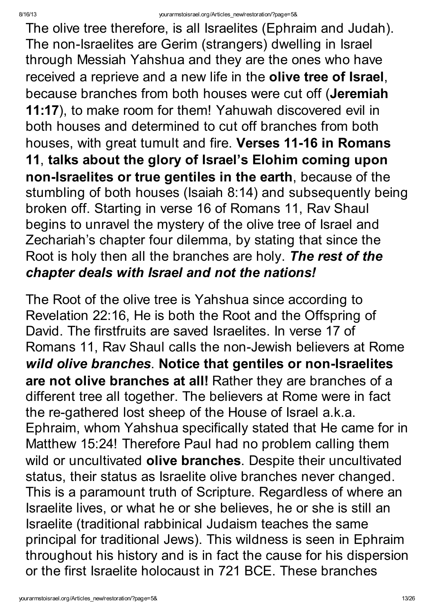The olive tree therefore, is all Israelites (Ephraim and Judah). The non-Israelites are Gerim (strangers) dwelling in Israel through Messiah Yahshua and they are the ones who have received a reprieve and a new life in the olive tree of Israel, because branches from both houses were cut off (Jeremiah 11:17), to make room for them! Yahuwah discovered evil in both houses and determined to cut off branches from both houses, with great tumult and fire. Verses 11-16 in Romans 11, talks about the glory of Israel's Elohim coming upon non-Israelites or true gentiles in the earth, because of the stumbling of both houses (Isaiah 8:14) and subsequently being broken off. Starting in verse 16 of Romans 11, Rav Shaul begins to unravel the mystery of the olive tree of Israel and Zechariah's chapter four dilemma, by stating that since the Root is holy then all the branches are holy. The rest of the chapter deals with Israel and not the nations!

The Root of the olive tree is Yahshua since according to Revelation 22:16, He is both the Root and the Offspring of David. The firstfruits are saved Israelites. In verse 17 of Romans 11, Rav Shaul calls the non-Jewish believers at Rome wild olive branches. Notice that gentiles or non-Israelites are not olive branches at all! Rather they are branches of a different tree all together. The believers at Rome were in fact the re-gathered lost sheep of the House of Israel a.k.a. Ephraim, whom Yahshua specifically stated that He came for in Matthew 15:24! Therefore Paul had no problem calling them wild or uncultivated olive branches. Despite their uncultivated status, their status as Israelite olive branches never changed. This is a paramount truth of Scripture. Regardless of where an Israelite lives, or what he or she believes, he or she is still an Israelite (traditional rabbinical Judaism teaches the same principal for traditional Jews). This wildness is seen in Ephraim throughout his history and is in fact the cause for his dispersion or the first Israelite holocaust in 721 BCE. These branches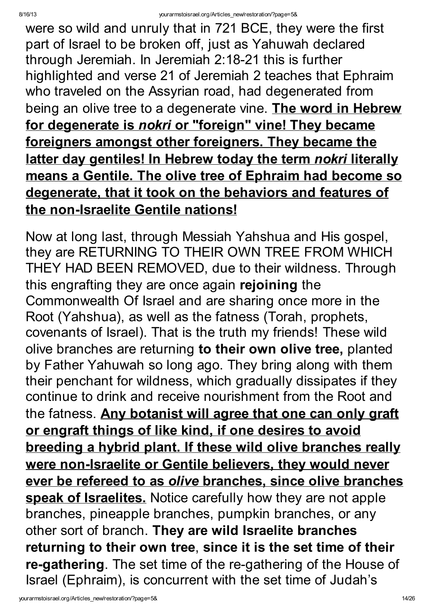were so wild and unruly that in 721 BCE, they were the first part of Israel to be broken off, just as Yahuwah declared through Jeremiah. In Jeremiah 2:18-21 this is further highlighted and verse 21 of Jeremiah 2 teaches that Ephraim who traveled on the Assyrian road, had degenerated from being an olive tree to a degenerate vine. The word in Hebrew for degenerate is nokri or "foreign" vine! They became foreigners amongst other foreigners. They became the latter day gentiles! In Hebrew today the term nokri literally means a Gentile. The olive tree of Ephraim had become so degenerate, that it took on the behaviors and features of the non-Israelite Gentile nations!

Now at long last, through Messiah Yahshua and His gospel, they are RETURNING TO THEIR OWN TREE FROM WHICH THEY HAD BEEN REMOVED, due to their wildness. Through this engrafting they are once again rejoining the Commonwealth Of Israel and are sharing once more in the Root (Yahshua), as well as the fatness (Torah, prophets, covenants of Israel). That is the truth my friends! These wild olive branches are returning to their own olive tree, planted by Father Yahuwah so long ago. They bring along with them their penchant for wildness, which gradually dissipates if they continue to drink and receive nourishment from the Root and the fatness. Any botanist will agree that one can only graft or engraft things of like kind, if one desires to avoid breeding a hybrid plant. If these wild olive branches really were non-Israelite or Gentile believers, they would never ever be refereed to as olive branches, since olive branches speak of Israelites. Notice carefully how they are not apple branches, pineapple branches, pumpkin branches, or any other sort of branch. They are wild Israelite branches returning to their own tree, since it is the set time of their re-gathering. The set time of the re-gathering of the House of Israel (Ephraim), is concurrent with the set time of Judah's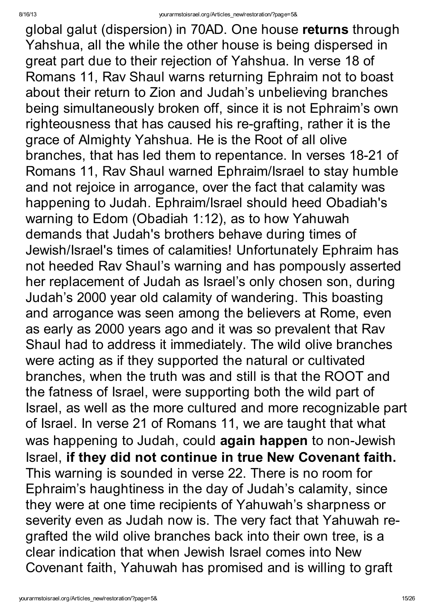global galut (dispersion) in 70AD. One house returns through Yahshua, all the while the other house is being dispersed in great part due to their rejection of Yahshua. In verse 18 of Romans 11, Rav Shaul warns returning Ephraim not to boast about their return to Zion and Judah's unbelieving branches being simultaneously broken off, since it is not Ephraim's own righteousness that has caused his re-grafting, rather it is the grace of Almighty Yahshua. He is the Root of all olive branches, that has led them to repentance. In verses 18-21 of Romans 11, Rav Shaul warned Ephraim/Israel to stay humble and not rejoice in arrogance, over the fact that calamity was happening to Judah. Ephraim/Israel should heed Obadiah's warning to Edom (Obadiah 1:12), as to how Yahuwah demands that Judah's brothers behave during times of Jewish/Israel's times of calamities! Unfortunately Ephraim has not heeded Rav Shaul's warning and has pompously asserted her replacement of Judah as Israel's only chosen son, during Judah's 2000 year old calamity of wandering. This boasting and arrogance was seen among the believers at Rome, even as early as 2000 years ago and it was so prevalent that Rav Shaul had to address it immediately. The wild olive branches were acting as if they supported the natural or cultivated branches, when the truth was and still is that the ROOT and the fatness of Israel, were supporting both the wild part of Israel, as well as the more cultured and more recognizable part of Israel. In verse 21 of Romans 11, we are taught that what was happening to Judah, could again happen to non-Jewish Israel, if they did not continue in true New Covenant faith. This warning is sounded in verse 22. There is no room for Ephraim's haughtiness in the day of Judah's calamity, since they were at one time recipients of Yahuwah's sharpness or severity even as Judah now is. The very fact that Yahuwah regrafted the wild olive branches back into their own tree, is a clear indication that when Jewish Israel comes into New Covenant faith, Yahuwah has promised and is willing to graft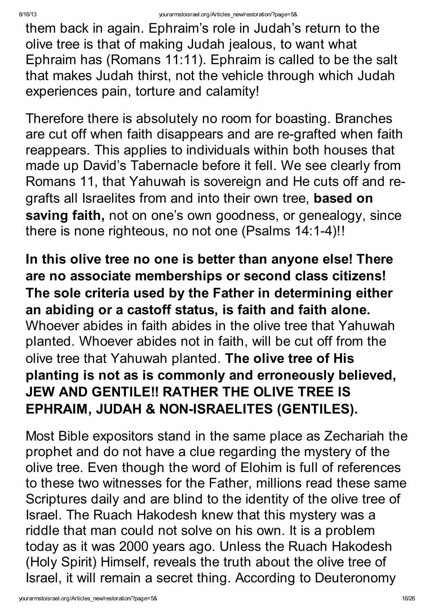them back in again. Ephraim's role in Judah's return to the olive tree is that of making Judah jealous, to want what Ephraim has (Romans 11:11). Ephraim is called to be the salt that makes Judah thirst, not the vehicle through which Judah experiences pain, torture and calamity!

Therefore there is absolutely no room for boasting. Branches are cut off when faith disappears and are re-grafted when faith reappears. This applies to individuals within both houses that made up David's Tabernacle before it fell. We see clearly from Romans 11, that Yahuwah is sovereign and He cuts off and regrafts all Israelites from and into their own tree, based on saving faith, not on one's own goodness, or genealogy, since there is none righteous, no not one (Psalms 14:1-4)!!

In this olive tree no one is better than anyone else! There are no associate memberships or second class citizens! The sole criteria used by the Father in determining either an abiding or a castoff status, is faith and faith alone. Whoever abides in faith abides in the olive tree that Yahuwah planted. Whoever abides not in faith, will be cut off from the olive tree that Yahuwah planted. The olive tree of His planting is not as is commonly and erroneously believed, JEW AND GENTILE!! RATHER THE OLIVE TREE IS EPHRAIM, JUDAH & NON-ISRAELITES (GENTILES).

Most Bible expositors stand in the same place as Zechariah the prophet and do not have a clue regarding the mystery of the olive tree. Even though the word of Elohim is full of references to these two witnesses for the Father, millions read these same Scriptures daily and are blind to the identity of the olive tree of Israel. The Ruach Hakodesh knew that this mystery was a riddle that man could not solve on his own. It is a problem today as it was 2000 years ago. Unless the Ruach Hakodesh (Holy Spirit) Himself, reveals the truth about the olive tree of Israel, it will remain a secret thing. According to Deuteronomy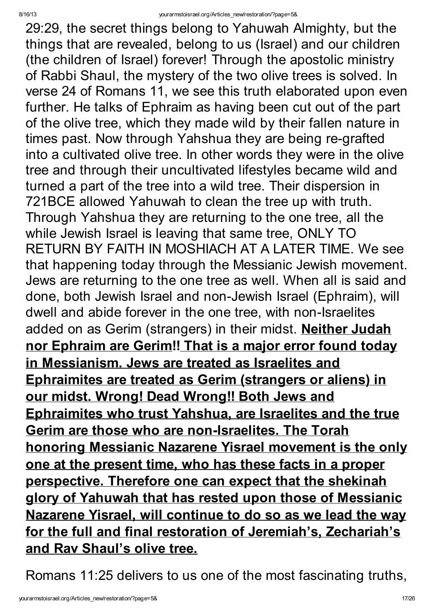29:29, the secret things belong to Yahuwah Almighty, but the things that are revealed, belong to us (Israel) and our children (the children of Israel) forever! Through the apostolic ministry of Rabbi Shaul, the mystery of the two olive trees is solved. In verse 24 of Romans 11, we see this truth elaborated upon even further. He talks of Ephraim as having been cut out of the part of the olive tree, which they made wild by their fallen nature in times past. Now through Yahshua they are being re-grafted into a cultivated olive tree. In other words they were in the olive tree and through their uncultivated lifestyles became wild and turned a part of the tree into a wild tree. Their dispersion in 721BCE allowed Yahuwah to clean the tree up with truth. Through Yahshua they are returning to the one tree, all the while Jewish Israel is leaving that same tree, ONLY TO RETURN BY FAITH IN MOSHIACH AT A LATER TIME. We see that happening today through the Messianic Jewish movement. Jews are returning to the one tree as well. When all is said and done, both Jewish Israel and non-Jewish Israel (Ephraim), will dwell and abide forever in the one tree, with non-Israelites added on as Gerim (strangers) in their midst. Neither Judah nor Ephraim are Gerim!! That is a major error found today in Messianism. Jews are treated as Israelites and Ephraimites are treated as Gerim (strangers or aliens) in our midst. Wrong! Dead Wrong!! Both Jews and Ephraimites who trust Yahshua, are Israelites and the true Gerim are those who are non-Israelites. The Torah honoring Messianic Nazarene Yisrael movement is the only one at the present time, who has these facts in a proper perspective. Therefore one can expect that the shekinah glory of Yahuwah that has rested upon those of Messianic Nazarene Yisrael, will continue to do so as we lead the way for the full and final restoration of Jeremiah's, Zechariah's and Rav Shaul's olive tree.

Romans 11:25 delivers to us one of the most fascinating truths,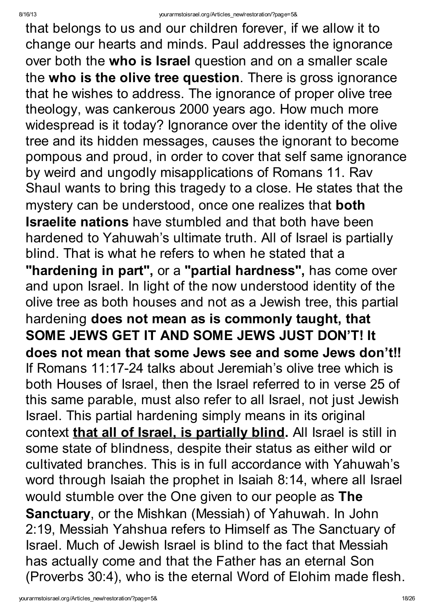that belongs to us and our children forever, if we allow it to change our hearts and minds. Paul addresses the ignorance over both the who is Israel question and on a smaller scale the who is the olive tree question. There is gross ignorance that he wishes to address. The ignorance of proper olive tree theology, was cankerous 2000 years ago. How much more widespread is it today? Ignorance over the identity of the olive tree and its hidden messages, causes the ignorant to become pompous and proud, in order to cover that self same ignorance by weird and ungodly misapplications of Romans 11. Rav Shaul wants to bring this tragedy to a close. He states that the mystery can be understood, once one realizes that **both Israelite nations** have stumbled and that both have been hardened to Yahuwah's ultimate truth. All of Israel is partially blind. That is what he refers to when he stated that a "hardening in part", or a "partial hardness", has come over and upon Israel. In light of the now understood identity of the olive tree as both houses and not as a Jewish tree, this partial hardening does not mean as is commonly taught, that SOME JEWS GET IT AND SOME JEWS JUST DON'T! It does not mean that some Jews see and some Jews don't!! If Romans 11:17-24 talks about Jeremiah's olive tree which is both Houses of Israel, then the Israel referred to in verse 25 of this same parable, must also refer to all Israel, not just Jewish Israel. This partial hardening simply means in its original context that all of Israel, is partially blind. All Israel is still in some state of blindness, despite their status as either wild or cultivated branches. This is in full accordance with Yahuwah's word through Isaiah the prophet in Isaiah 8:14, where all Israel would stumble over the One given to our people as The Sanctuary, or the Mishkan (Messiah) of Yahuwah. In John 2:19, Messiah Yahshua refers to Himself as The Sanctuary of Israel. Much of Jewish Israel is blind to the fact that Messiah has actually come and that the Father has an eternal Son (Proverbs 30:4), who is the eternal Word of Elohim made flesh.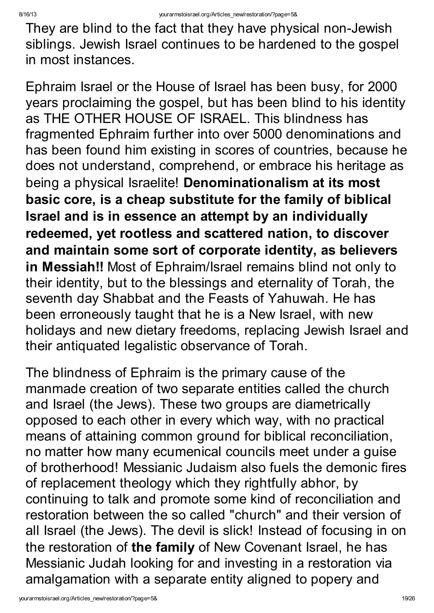They are blind to the fact that they have physical non-Jewish siblings. Jewish Israel continues to be hardened to the gospel in most instances.

Ephraim Israel or the House of Israel has been busy, for 2000 years proclaiming the gospel, but has been blind to his identity as THE OTHER HOUSE OF ISRAEL. This blindness has fragmented Ephraim further into over 5000 denominations and has been found him existing in scores of countries, because he does not understand, comprehend, or embrace his heritage as being a physical Israelite! Denominationalism at its most basic core, is a cheap substitute for the family of biblical Israel and is in essence an attempt by an individually redeemed, yet rootless and scattered nation, to discover and maintain some sort of corporate identity, as believers in Messiah!! Most of Ephraim/Israel remains blind not only to their identity, but to the blessings and eternality of Torah, the seventh day Shabbat and the Feasts of Yahuwah. He has been erroneously taught that he is a New Israel, with new holidays and new dietary freedoms, replacing Jewish Israel and their antiquated legalistic observance of Torah.

The blindness of Ephraim is the primary cause of the manmade creation of two separate entities called the church and Israel (the Jews). These two groups are diametrically opposed to each other in every which way, with no practical means of attaining common ground for biblical reconciliation, no matter how many ecumenical councils meet under a guise of brotherhood! Messianic Judaism also fuels the demonic fires of replacement theology which they rightfully abhor, by continuing to talk and promote some kind of reconciliation and restoration between the so called "church" and their version of all Israel (the Jews). The devil is slick! Instead of focusing in on the restoration of the family of New Covenant Israel, he has Messianic Judah looking for and investing in a restoration via amalgamation with a separate entity aligned to popery and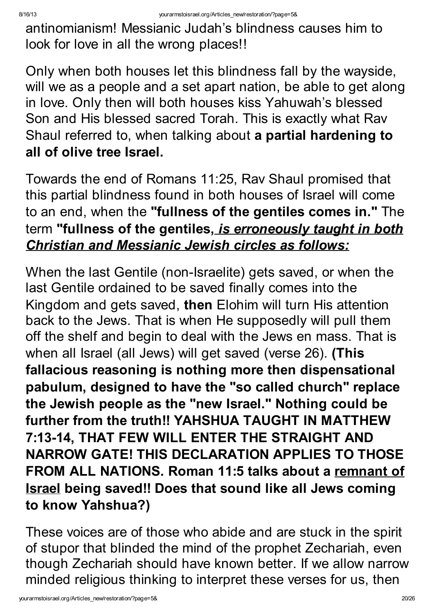antinomianism! Messianic Judah's blindness causes him to look for love in all the wrong places!!

Only when both houses let this blindness fall by the wayside, will we as a people and a set apart nation, be able to get along in love. Only then will both houses kiss Yahuwah's blessed Son and His blessed sacred Torah. This is exactly what Rav Shaul referred to, when talking about a partial hardening to all of olive tree Israel.

Towards the end of Romans 11:25, Rav Shaul promised that this partial blindness found in both houses of Israel will come to an end, when the "fullness of the gentiles comes in." The term "fullness of the gentiles, is erroneously taught in both Christian and Messianic Jewish circles as follows:

When the last Gentile (non-Israelite) gets saved, or when the last Gentile ordained to be saved finally comes into the Kingdom and gets saved, then Elohim will turn His attention back to the Jews. That is when He supposedly will pull them off the shelf and begin to deal with the Jews en mass. That is when all Israel (all Jews) will get saved (verse 26). (This fallacious reasoning is nothing more then dispensational pabulum, designed to have the "so called church" replace the Jewish people as the "new Israel." Nothing could be further from the truth!! YAHSHUA TAUGHT IN MATTHEW 7:13-14, THAT FEW WILL ENTER THE STRAIGHT AND NARROW GATE! THIS DECLARATION APPLIES TO THOSE FROM ALL NATIONS. Roman 11:5 talks about a remnant of Israel being saved!! Does that sound like all Jews coming to know Yahshua?)

These voices are of those who abide and are stuck in the spirit of stupor that blinded the mind of the prophet Zechariah, even though Zechariah should have known better. If we allow narrow minded religious thinking to interpret these verses for us, then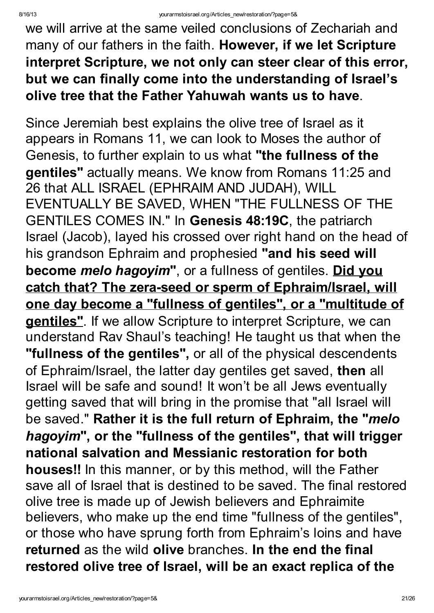we will arrive at the same veiled conclusions of Zechariah and many of our fathers in the faith. However, if we let Scripture interpret Scripture, we not only can steer clear of this error, but we can finally come into the understanding of Israel's olive tree that the Father Yahuwah wants us to have.

Since Jeremiah best explains the olive tree of Israel as it appears in Romans 11, we can look to Moses the author of Genesis, to further explain to us what "the fullness of the gentiles" actually means. We know from Romans 11:25 and 26 that ALL ISRAEL (EPHRAIM AND JUDAH), WILL EVENTUALLY BE SAVED, WHEN "THE FULLNESS OF THE GENTILES COMES IN." In Genesis 48:19C, the patriarch Israel (Jacob), layed his crossed over right hand on the head of his grandson Ephraim and prophesied "and his seed will become *melo hagoyim*", or a fullness of gentiles. Did you catch that? The zera-seed or sperm of Ephraim/Israel, will one day become a "fullness of gentiles" , or a "multitude of gentiles". If we allow Scripture to interpret Scripture, we can understand Rav Shaul's teaching! He taught us that when the "fullness of the gentiles", or all of the physical descendents of Ephraim/Israel, the latter day gentiles get saved, then all Israel will be safe and sound! It won't be all Jews eventually getting saved that will bring in the promise that "all Israel will be saved." Rather it is the full return of Ephraim, the "melo hagoyim", or the "fullness of the gentiles", that will trigger national salvation and Messianic restoration for both houses!! In this manner, or by this method, will the Father save all of Israel that is destined to be saved. The final restored olive tree is made up of Jewish believers and Ephraimite believers, who make up the end time "fullness of the gentiles", or those who have sprung forth from Ephraim's loins and have returned as the wild olive branches. In the end the final restored olive tree of Israel, will be an exact replica of the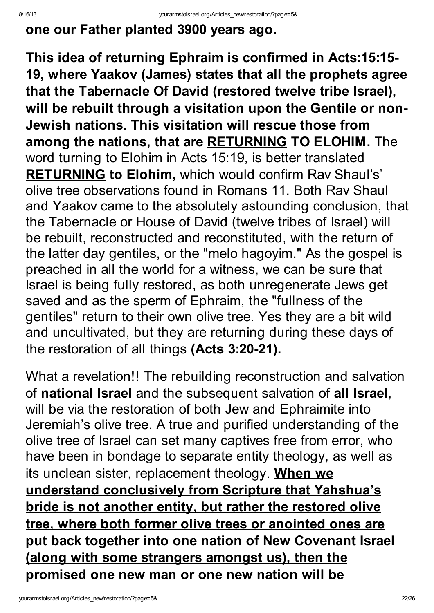### one our Father planted 3900 years ago.

This idea of returning Ephraim is confirmed in Acts:15:15- 19, where Yaakov (James) states that all the prophets agree that the Tabernacle Of David (restored twelve tribe Israel), will be rebuilt through a visitation upon the Gentile or non-Jewish nations. This visitation will rescue those from among the nations, that are RETURNING TO ELOHIM. The word turning to Elohim in Acts 15:19, is better translated **RETURNING to Elohim, which would confirm Rav Shaul's'** olive tree observations found in Romans 11. Both Rav Shaul and Yaakov came to the absolutely astounding conclusion, that the Tabernacle or House of David (twelve tribes of Israel) will be rebuilt, reconstructed and reconstituted, with the return of the latter day gentiles, or the "melo hagoyim." As the gospel is preached in all the world for a witness, we can be sure that Israel is being fully restored, as both unregenerate Jews get saved and as the sperm of Ephraim, the "fullness of the gentiles" return to their own olive tree. Yes they are a bit wild and uncultivated, but they are returning during these days of the restoration of all things (Acts 3:20-21).

What a revelation!! The rebuilding reconstruction and salvation of national Israel and the subsequent salvation of all Israel, will be via the restoration of both Jew and Ephraimite into Jeremiah's olive tree. A true and purified understanding of the olive tree of Israel can set many captives free from error, who have been in bondage to separate entity theology, as well as its unclean sister, replacement theology. When we understand conclusively from Scripture that Yahshua's bride is not another entity, but rather the restored olive tree, where both former olive trees or anointed ones are put back together into one nation of New Covenant Israel (along with some strangers amongst us), then the promised one new man or one new nation will be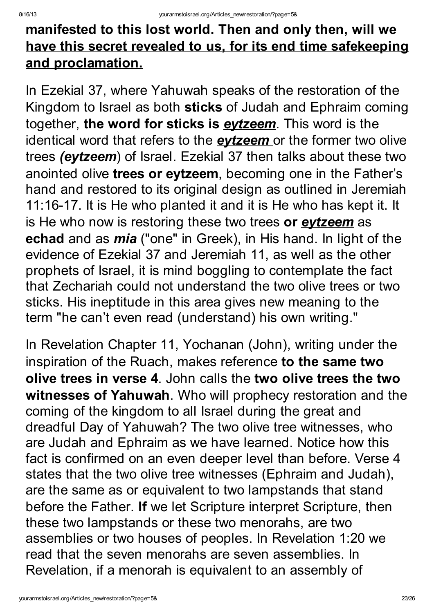# manifested to this lost world. Then and only then, will we have this secret revealed to us, for its end time safekeeping and proclamation.

In Ezekial 37, where Yahuwah speaks of the restoration of the Kingdom to Israel as both sticks of Judah and Ephraim coming together, the word for sticks is **eytzeem**. This word is the identical word that refers to the **evtzeem** or the former two olive trees (eytzeem) of Israel. Ezekial 37 then talks about these two anointed olive trees or eytzeem, becoming one in the Father's hand and restored to its original design as outlined in Jeremiah 11:16-17. It is He who planted it and it is He who has kept it. It is He who now is restoring these two trees or **eytzeem** as echad and as *mia* ("one" in Greek), in His hand. In light of the evidence of Ezekial 37 and Jeremiah 11, as well as the other prophets of Israel, it is mind boggling to contemplate the fact that Zechariah could not understand the two olive trees or two sticks. His ineptitude in this area gives new meaning to the term "he can't even read (understand) his own writing."

In Revelation Chapter 11, Yochanan (John), writing under the inspiration of the Ruach, makes reference to the same two olive trees in verse 4. John calls the two olive trees the two witnesses of Yahuwah. Who will prophecy restoration and the coming of the kingdom to all Israel during the great and dreadful Day of Yahuwah? The two olive tree witnesses, who are Judah and Ephraim as we have learned. Notice how this fact is confirmed on an even deeper level than before. Verse 4 states that the two olive tree witnesses (Ephraim and Judah), are the same as or equivalent to two lampstands that stand before the Father. If we let Scripture interpret Scripture, then these two lampstands or these two menorahs, are two assemblies or two houses of peoples. In Revelation 1:20 we read that the seven menorahs are seven assemblies. In Revelation, if a menorah is equivalent to an assembly of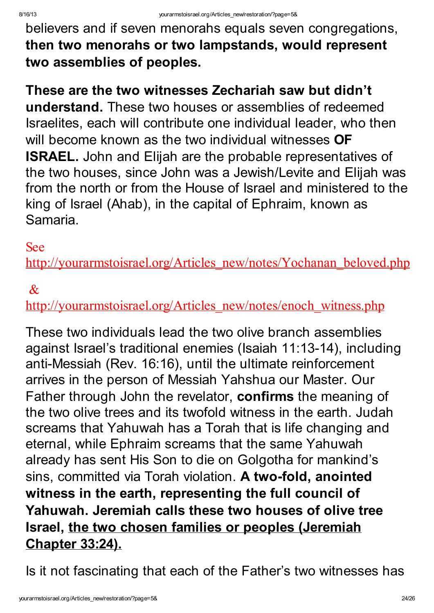believers and if seven menorahs equals seven congregations, then two menorahs or two lampstands, would represent two assemblies of peoples.

These are the two witnesses Zechariah saw but didn't understand. These two houses or assemblies of redeemed Israelites, each will contribute one individual leader, who then will become known as the two individual witnesses **OF** ISRAEL. John and Elijah are the probable representatives of the two houses, since John was a Jewish/Levite and Elijah was from the north or from the House of Israel and ministered to the king of Israel (Ahab), in the capital of Ephraim, known as Samaria.

#### See

[http://yourarmstoisrael.org/Articles\\_new/notes/Yochanan\\_beloved.php](http://yourarmstoisrael.org/Articles_new/notes/Yochanan_beloved.php)

#### $\mathcal{R}_{\mathcal{L}}$

[http://yourarmstoisrael.org/Articles\\_new/notes/enoch\\_witness.php](http://yourarmstoisrael.org/Articles_new/notes/enoch_witness.php)

These two individuals lead the two olive branch assemblies against Israel's traditional enemies (Isaiah 11:13-14), including anti-Messiah (Rev. 16:16), until the ultimate reinforcement arrives in the person of Messiah Yahshua our Master. Our Father through John the revelator, confirms the meaning of the two olive trees and its twofold witness in the earth. Judah screams that Yahuwah has a Torah that is life changing and eternal, while Ephraim screams that the same Yahuwah already has sent His Son to die on Golgotha for mankind's sins, committed via Torah violation. A two-fold, anointed witness in the earth, representing the full council of Yahuwah. Jeremiah calls these two houses of olive tree Israel, the two chosen families or peoples (Jeremiah Chapter 33:24).

Is it not fascinating that each of the Father's two witnesses has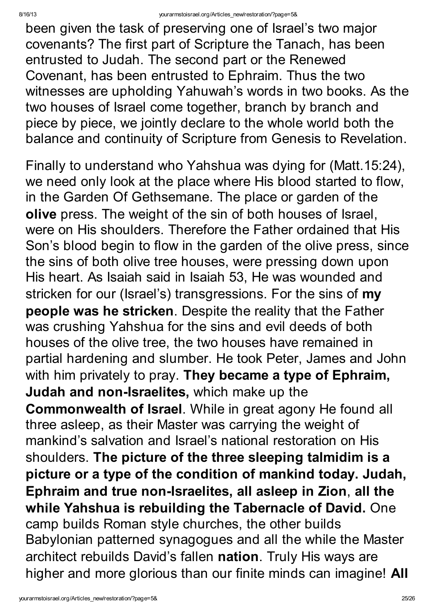been given the task of preserving one of Israel's two major covenants? The first part of Scripture the Tanach, has been entrusted to Judah. The second part or the Renewed Covenant, has been entrusted to Ephraim. Thus the two witnesses are upholding Yahuwah's words in two books. As the two houses of Israel come together, branch by branch and piece by piece, we jointly declare to the whole world both the balance and continuity of Scripture from Genesis to Revelation.

Finally to understand who Yahshua was dying for (Matt.15:24), we need only look at the place where His blood started to flow, in the Garden Of Gethsemane. The place or garden of the olive press. The weight of the sin of both houses of Israel, were on His shoulders. Therefore the Father ordained that His Son's blood begin to flow in the garden of the olive press, since the sins of both olive tree houses, were pressing down upon His heart. As Isaiah said in Isaiah 53, He was wounded and stricken for our (Israel's) transgressions. For the sins of my people was he stricken. Despite the reality that the Father was crushing Yahshua for the sins and evil deeds of both houses of the olive tree, the two houses have remained in partial hardening and slumber. He took Peter, James and John with him privately to pray. They became a type of Ephraim, Judah and non-Israelites, which make up the Commonwealth of Israel. While in great agony He found all three asleep, as their Master was carrying the weight of mankind's salvation and Israel's national restoration on His shoulders. The picture of the three sleeping talmidim is a picture or a type of the condition of mankind today. Judah, Ephraim and true non-Israelites, all asleep in Zion, all the while Yahshua is rebuilding the Tabernacle of David. One camp builds Roman style churches, the other builds Babylonian patterned synagogues and all the while the Master architect rebuilds David's fallen nation. Truly His ways are higher and more glorious than our finite minds can imagine! All